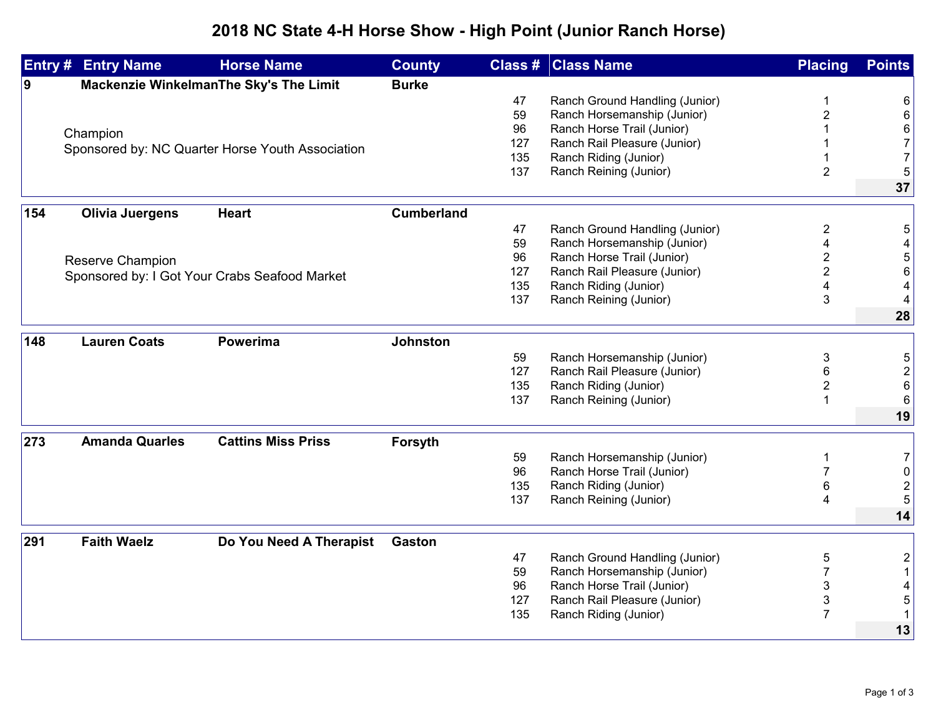## **2018 NC State 4-H Horse Show - High Point (Junior Ranch Horse)**

|          | <b>Entry # Entry Name</b>                     | <b>Horse Name</b>                                | <b>County</b>     |                              | <b>Class # Class Name</b>      | <b>Placing</b>          | <b>Points</b>           |
|----------|-----------------------------------------------|--------------------------------------------------|-------------------|------------------------------|--------------------------------|-------------------------|-------------------------|
| <u>g</u> | Mackenzie WinkelmanThe Sky's The Limit        |                                                  | <b>Burke</b>      |                              |                                |                         |                         |
|          |                                               |                                                  |                   | 47                           | Ranch Ground Handling (Junior) | 1                       | 6                       |
|          |                                               |                                                  |                   | 59                           | Ranch Horsemanship (Junior)    | $\overline{2}$          | 6                       |
|          | Champion                                      |                                                  |                   | 96                           | Ranch Horse Trail (Junior)     |                         | 6                       |
|          |                                               | Sponsored by: NC Quarter Horse Youth Association |                   | 127                          | Ranch Rail Pleasure (Junior)   |                         | $\overline{7}$          |
|          |                                               |                                                  |                   | 135                          | Ranch Riding (Junior)          |                         | $\overline{7}$          |
|          |                                               |                                                  |                   | 137                          | Ranch Reining (Junior)         | $\overline{2}$          | 5                       |
|          |                                               |                                                  |                   |                              |                                |                         | 37                      |
| 154      | <b>Olivia Juergens</b><br><b>Heart</b>        |                                                  | <b>Cumberland</b> |                              |                                |                         |                         |
|          |                                               |                                                  |                   | 47                           | Ranch Ground Handling (Junior) | $\overline{2}$          | 5                       |
|          |                                               |                                                  |                   | 59                           | Ranch Horsemanship (Junior)    |                         |                         |
|          |                                               |                                                  |                   | 96                           | Ranch Horse Trail (Junior)     | $\overline{2}$          | 5                       |
|          | <b>Reserve Champion</b>                       |                                                  | 127               | Ranch Rail Pleasure (Junior) | $\overline{\mathbf{c}}$        | 6                       |                         |
|          | Sponsored by: I Got Your Crabs Seafood Market |                                                  |                   | 135                          | Ranch Riding (Junior)          | 4                       | 4                       |
|          |                                               |                                                  |                   | 137                          | Ranch Reining (Junior)         | 3                       | 4                       |
|          |                                               |                                                  |                   |                              |                                |                         | 28                      |
|          |                                               |                                                  |                   |                              |                                |                         |                         |
| 148      | <b>Lauren Coats</b>                           | <b>Powerima</b>                                  | <b>Johnston</b>   |                              |                                |                         |                         |
|          |                                               |                                                  |                   | 59                           | Ranch Horsemanship (Junior)    | 3                       | 5                       |
|          |                                               |                                                  |                   | 127                          | Ranch Rail Pleasure (Junior)   | 6                       | $\overline{c}$          |
|          |                                               |                                                  |                   | 135                          | Ranch Riding (Junior)          | $\overline{\mathbf{c}}$ | $\,6$                   |
|          |                                               |                                                  |                   | 137                          | Ranch Reining (Junior)         | 1                       | 6                       |
|          |                                               |                                                  |                   |                              |                                |                         | 19                      |
| 273      | <b>Amanda Quarles</b>                         | <b>Cattins Miss Priss</b>                        | Forsyth           |                              |                                |                         |                         |
|          |                                               |                                                  |                   | 59                           | Ranch Horsemanship (Junior)    | 1                       | $\overline{7}$          |
|          |                                               |                                                  |                   | 96                           | Ranch Horse Trail (Junior)     |                         | 0                       |
|          |                                               |                                                  |                   | 135                          | Ranch Riding (Junior)          | 6                       | $\overline{\mathbf{c}}$ |
|          |                                               |                                                  |                   | 137                          | Ranch Reining (Junior)         | 4                       | 5                       |
|          |                                               |                                                  |                   |                              |                                |                         | 14                      |
|          | <b>Faith Waelz</b>                            |                                                  |                   |                              |                                |                         |                         |
| 291      |                                               | Do You Need A Therapist                          | <b>Gaston</b>     |                              |                                |                         |                         |
|          |                                               |                                                  |                   | 47                           | Ranch Ground Handling (Junior) | 5                       | $\overline{\mathbf{c}}$ |
|          |                                               |                                                  |                   | 59                           | Ranch Horsemanship (Junior)    | $\overline{7}$          | $\mathbf{1}$            |
|          |                                               |                                                  |                   | 96                           | Ranch Horse Trail (Junior)     | 3                       |                         |
|          |                                               |                                                  |                   | 127<br>135                   | Ranch Rail Pleasure (Junior)   | 3<br>$\overline{7}$     | 5                       |
|          |                                               |                                                  |                   |                              | Ranch Riding (Junior)          |                         | $\mathbf{1}$            |
|          |                                               |                                                  |                   |                              |                                |                         | 13                      |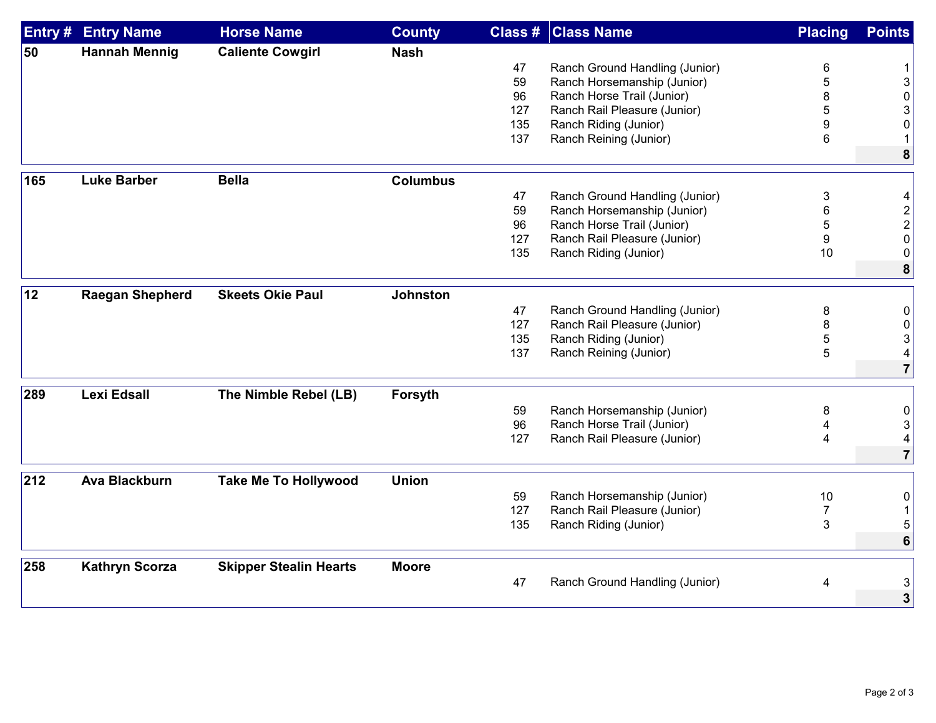| Entry # | <b>Entry Name</b>      | <b>Horse Name</b>             | <b>County</b>   |     | <b>Class # Class Name</b>      | <b>Placing</b> | <b>Points</b>             |
|---------|------------------------|-------------------------------|-----------------|-----|--------------------------------|----------------|---------------------------|
| 50      | <b>Hannah Mennig</b>   | <b>Caliente Cowgirl</b>       | <b>Nash</b>     |     |                                |                |                           |
|         |                        |                               |                 | 47  | Ranch Ground Handling (Junior) | 6              | 1                         |
|         |                        |                               |                 | 59  | Ranch Horsemanship (Junior)    | 5              | $\ensuremath{\mathsf{3}}$ |
|         |                        |                               |                 | 96  | Ranch Horse Trail (Junior)     | 8              | 0                         |
|         |                        |                               |                 | 127 | Ranch Rail Pleasure (Junior)   | 5              | 3                         |
|         |                        |                               |                 | 135 | Ranch Riding (Junior)          | 9              | 0                         |
|         |                        |                               |                 | 137 | Ranch Reining (Junior)         | 6              | $\mathbf 1$               |
|         |                        |                               |                 |     |                                |                | 8                         |
|         | <b>Luke Barber</b>     | <b>Bella</b>                  | <b>Columbus</b> |     |                                |                |                           |
| 165     |                        |                               |                 |     |                                |                |                           |
|         |                        |                               |                 | 47  | Ranch Ground Handling (Junior) | 3              | 4                         |
|         |                        |                               |                 | 59  | Ranch Horsemanship (Junior)    | 6              | $\overline{\mathbf{c}}$   |
|         |                        |                               |                 | 96  | Ranch Horse Trail (Junior)     | 5              | $\overline{\mathbf{c}}$   |
|         |                        |                               |                 | 127 | Ranch Rail Pleasure (Junior)   | 9              | 0                         |
|         |                        |                               |                 | 135 | Ranch Riding (Junior)          | 10             | 0                         |
|         |                        |                               |                 |     |                                |                | 8                         |
| 12      | <b>Raegan Shepherd</b> | <b>Skeets Okie Paul</b>       | <b>Johnston</b> |     |                                |                |                           |
|         |                        |                               |                 | 47  | Ranch Ground Handling (Junior) | 8              | 0                         |
|         |                        |                               |                 | 127 | Ranch Rail Pleasure (Junior)   | 8              | 0                         |
|         |                        |                               |                 | 135 | Ranch Riding (Junior)          | 5              | 3                         |
|         |                        |                               |                 | 137 | Ranch Reining (Junior)         | 5              | 4                         |
|         |                        |                               |                 |     |                                |                | $\overline{7}$            |
| 289     | <b>Lexi Edsall</b>     | The Nimble Rebel (LB)         | Forsyth         |     |                                |                |                           |
|         |                        |                               |                 |     |                                |                |                           |
|         |                        |                               |                 | 59  | Ranch Horsemanship (Junior)    | 8              | 0                         |
|         |                        |                               |                 | 96  | Ranch Horse Trail (Junior)     |                | $\sqrt{3}$                |
|         |                        |                               |                 | 127 | Ranch Rail Pleasure (Junior)   | 4              | 4                         |
|         |                        |                               |                 |     |                                |                | 7                         |
| 212     | <b>Ava Blackburn</b>   | <b>Take Me To Hollywood</b>   | <b>Union</b>    |     |                                |                |                           |
|         |                        |                               |                 | 59  | Ranch Horsemanship (Junior)    | 10             | 0                         |
|         |                        |                               |                 | 127 | Ranch Rail Pleasure (Junior)   | $\overline{7}$ |                           |
|         |                        |                               |                 | 135 | Ranch Riding (Junior)          | 3              | 5                         |
|         |                        |                               |                 |     |                                |                | $6\phantom{1}$            |
| 258     | <b>Kathryn Scorza</b>  | <b>Skipper Stealin Hearts</b> | <b>Moore</b>    |     |                                |                |                           |
|         |                        |                               |                 | 47  | Ranch Ground Handling (Junior) |                |                           |
|         |                        |                               |                 |     |                                | 4              | 3                         |
|         |                        |                               |                 |     |                                |                | $\overline{3}$            |